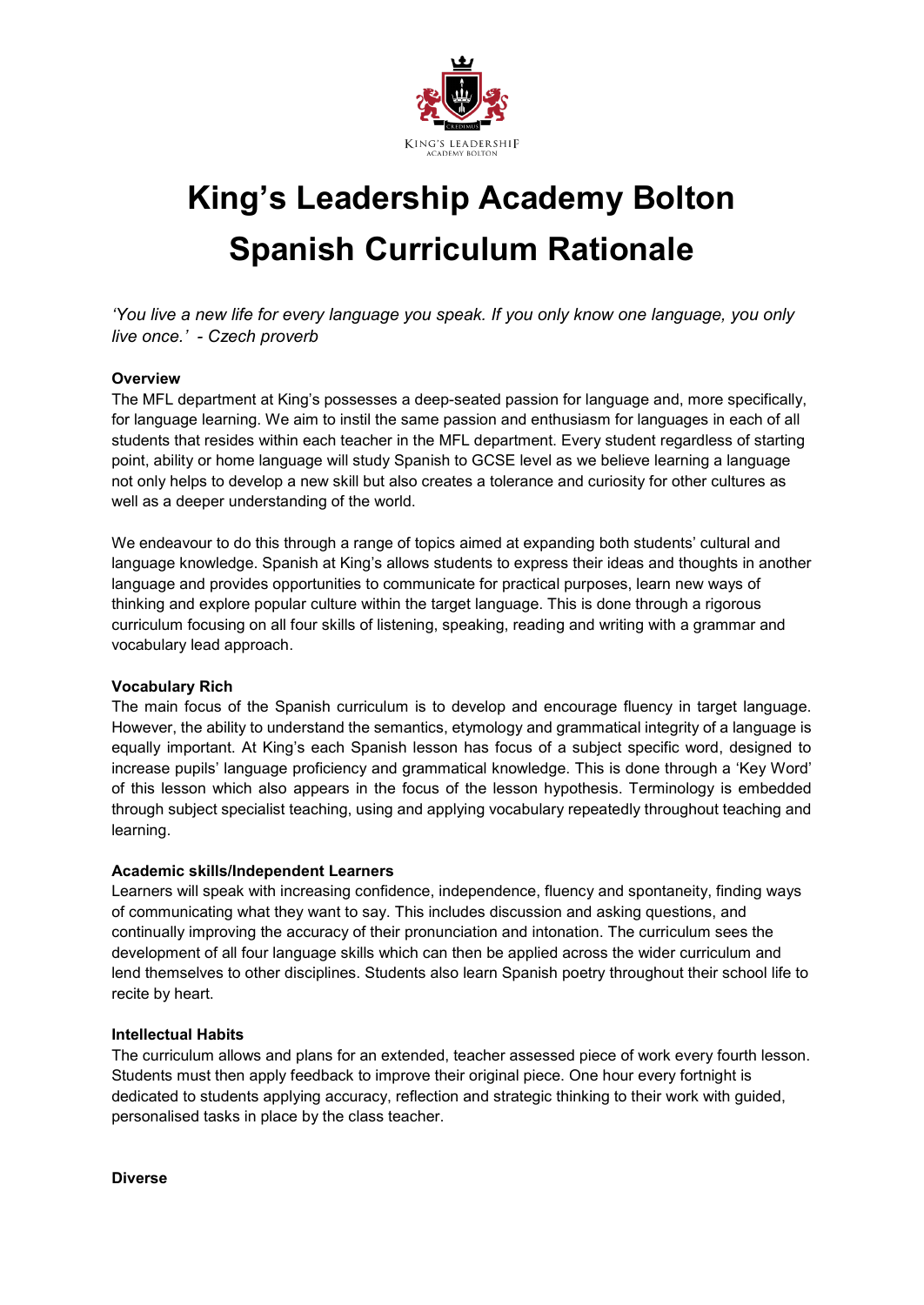

# **King's Leadership Academy Bolton Spanish Curriculum Rationale**

*'You live a new life for every language you speak. If you only know one language, you only live once.' - Czech proverb*

### **Overview**

The MFL department at King's possesses a deep-seated passion for language and, more specifically, for language learning. We aim to instil the same passion and enthusiasm for languages in each of all students that resides within each teacher in the MFL department. Every student regardless of starting point, ability or home language will study Spanish to GCSE level as we believe learning a language not only helps to develop a new skill but also creates a tolerance and curiosity for other cultures as well as a deeper understanding of the world.

We endeavour to do this through a range of topics aimed at expanding both students' cultural and language knowledge. Spanish at King's allows students to express their ideas and thoughts in another language and provides opportunities to communicate for practical purposes, learn new ways of thinking and explore popular culture within the target language. This is done through a rigorous curriculum focusing on all four skills of listening, speaking, reading and writing with a grammar and vocabulary lead approach.

#### **Vocabulary Rich**

The main focus of the Spanish curriculum is to develop and encourage fluency in target language. However, the ability to understand the semantics, etymology and grammatical integrity of a language is equally important. At King's each Spanish lesson has focus of a subject specific word, designed to increase pupils' language proficiency and grammatical knowledge. This is done through a 'Key Word' of this lesson which also appears in the focus of the lesson hypothesis. Terminology is embedded through subject specialist teaching, using and applying vocabulary repeatedly throughout teaching and learning.

#### **Academic skills/Independent Learners**

Learners will speak with increasing confidence, independence, fluency and spontaneity, finding ways of communicating what they want to say. This includes discussion and asking questions, and continually improving the accuracy of their pronunciation and intonation. The curriculum sees the development of all four language skills which can then be applied across the wider curriculum and lend themselves to other disciplines. Students also learn Spanish poetry throughout their school life to recite by heart.

#### **Intellectual Habits**

The curriculum allows and plans for an extended, teacher assessed piece of work every fourth lesson. Students must then apply feedback to improve their original piece. One hour every fortnight is dedicated to students applying accuracy, reflection and strategic thinking to their work with guided, personalised tasks in place by the class teacher.